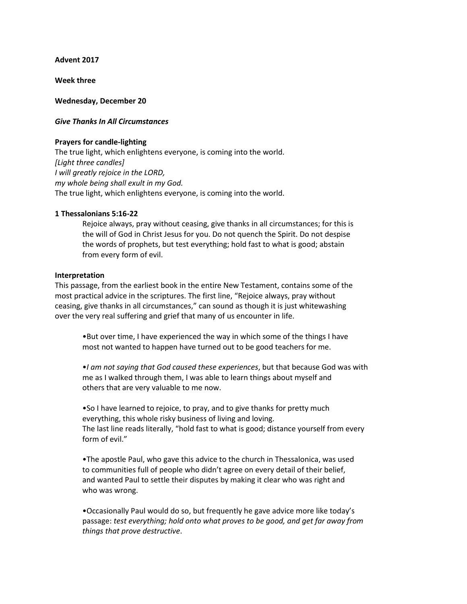**Advent 2017**

**Week three**

**Wednesday, December 20**

# *Give Thanks In All Circumstances*

### **Prayers for candle-lighting**

The true light, which enlightens everyone, is coming into the world. *[Light three candles] I will greatly rejoice in the LORD, my whole being shall exult in my God.* The true light, which enlightens everyone, is coming into the world.

### **1 Thessalonians 5:16-22**

Rejoice always, pray without ceasing, give thanks in all circumstances; for this is the will of God in Christ Jesus for you. Do not quench the Spirit. Do not despise the words of prophets, but test everything; hold fast to what is good; abstain from every form of evil.

#### **Interpretation**

This passage, from the earliest book in the entire New Testament, contains some of the most practical advice in the scriptures. The first line, "Rejoice always, pray without ceasing, give thanks in all circumstances," can sound as though it is just whitewashing over the very real suffering and grief that many of us encounter in life.

•But over time, I have experienced the way in which some of the things I have most not wanted to happen have turned out to be good teachers for me.

•*I am not saying that God caused these experiences*, but that because God was with me as I walked through them, I was able to learn things about myself and others that are very valuable to me now.

•So I have learned to rejoice, to pray, and to give thanks for pretty much everything, this whole risky business of living and loving. The last line reads literally, "hold fast to what is good; distance yourself from every form of evil."

•The apostle Paul, who gave this advice to the church in Thessalonica, was used to communities full of people who didn't agree on every detail of their belief, and wanted Paul to settle their disputes by making it clear who was right and who was wrong.

•Occasionally Paul would do so, but frequently he gave advice more like today's passage: *test everything; hold onto what proves to be good, and get far away from things that prove destructive*.